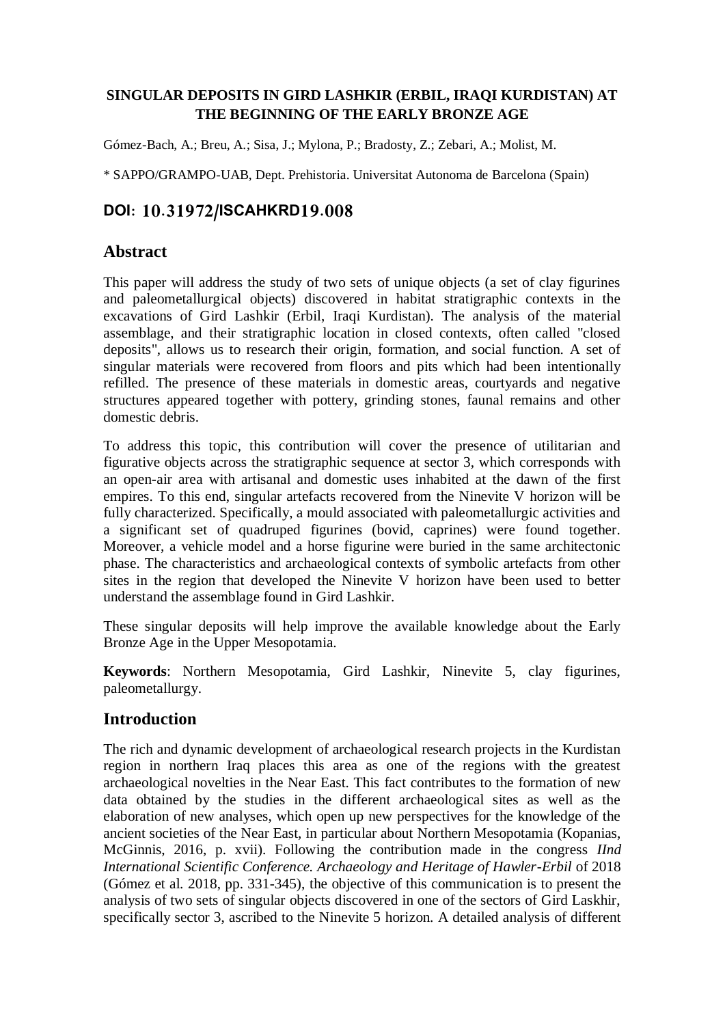## **SINGULAR DEPOSITS IN GIRD LASHKIR (ERBIL, IRAQI KURDISTAN) AT THE BEGINNING OF THE EARLY BRONZE AGE**

Gómez-Bach, A.; Breu, A.; Sisa, J.; Mylona, P.; Bradosty, Z.; Zebari, A.; Molist, M.

\* SAPPO/GRAMPO-UAB, Dept. Prehistoria. Universitat Autonoma de Barcelona (Spain)

# **DOI: 10.31972/ISCAHKRD19.008**

## **Abstract**

This paper will address the study of two sets of unique objects (a set of clay figurines and paleometallurgical objects) discovered in habitat stratigraphic contexts in the excavations of Gird Lashkir (Erbil, Iraqi Kurdistan). The analysis of the material assemblage, and their stratigraphic location in closed contexts, often called "closed deposits", allows us to research their origin, formation, and social function. A set of singular materials were recovered from floors and pits which had been intentionally refilled. The presence of these materials in domestic areas, courtyards and negative structures appeared together with pottery, grinding stones, faunal remains and other domestic debris.

To address this topic, this contribution will cover the presence of utilitarian and figurative objects across the stratigraphic sequence at sector 3, which corresponds with an open-air area with artisanal and domestic uses inhabited at the dawn of the first empires. To this end, singular artefacts recovered from the Ninevite V horizon will be fully characterized. Specifically, a mould associated with paleometallurgic activities and a significant set of quadruped figurines (bovid, caprines) were found together. Moreover, a vehicle model and a horse figurine were buried in the same architectonic phase. The characteristics and archaeological contexts of symbolic artefacts from other sites in the region that developed the Ninevite V horizon have been used to better understand the assemblage found in Gird Lashkir.

These singular deposits will help improve the available knowledge about the Early Bronze Age in the Upper Mesopotamia.

**Keywords**: Northern Mesopotamia, Gird Lashkir, Ninevite 5, clay figurines, paleometallurgy.

# **Introduction**

The rich and dynamic development of archaeological research projects in the Kurdistan region in northern Iraq places this area as one of the regions with the greatest archaeological novelties in the Near East. This fact contributes to the formation of new data obtained by the studies in the different archaeological sites as well as the elaboration of new analyses, which open up new perspectives for the knowledge of the ancient societies of the Near East, in particular about Northern Mesopotamia (Kopanias, McGinnis, 2016, p. xvii). Following the contribution made in the congress *IInd International Scientific Conference. Archaeology and Heritage of Hawler-Erbil* of 2018 (Gómez et al. 2018, pp. 331-345), the objective of this communication is to present the analysis of two sets of singular objects discovered in one of the sectors of Gird Laskhir, specifically sector 3, ascribed to the Ninevite 5 horizon. A detailed analysis of different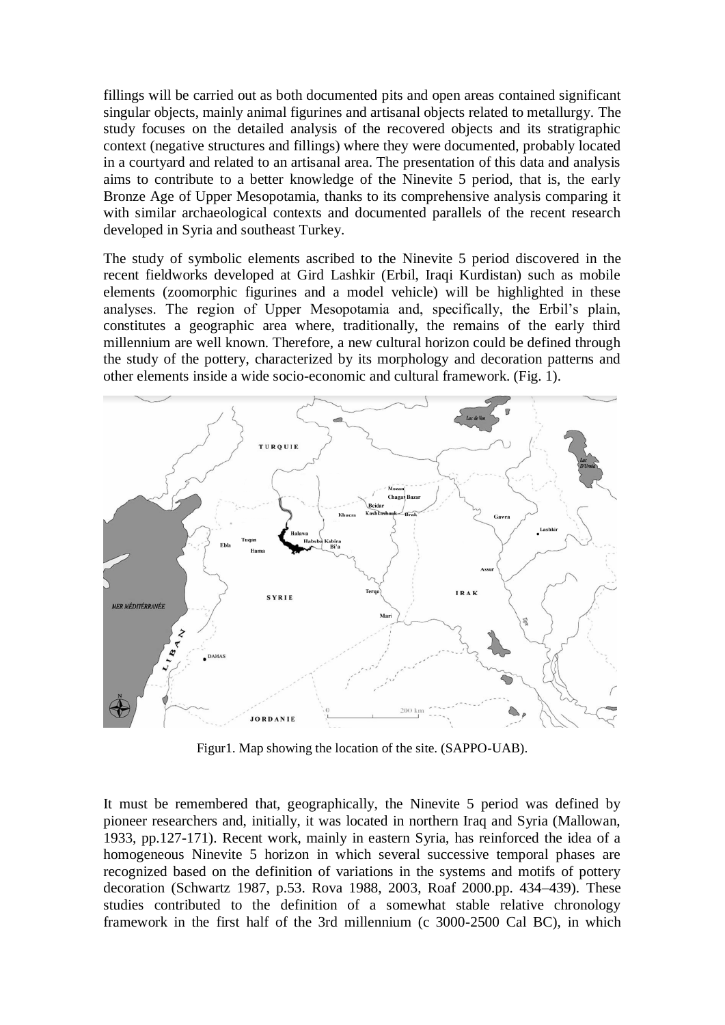fillings will be carried out as both documented pits and open areas contained significant singular objects, mainly animal figurines and artisanal objects related to metallurgy. The study focuses on the detailed analysis of the recovered objects and its stratigraphic context (negative structures and fillings) where they were documented, probably located in a courtyard and related to an artisanal area. The presentation of this data and analysis aims to contribute to a better knowledge of the Ninevite 5 period, that is, the early Bronze Age of Upper Mesopotamia, thanks to its comprehensive analysis comparing it with similar archaeological contexts and documented parallels of the recent research developed in Syria and southeast Turkey.

The study of symbolic elements ascribed to the Ninevite 5 period discovered in the recent fieldworks developed at Gird Lashkir (Erbil, Iraqi Kurdistan) such as mobile elements (zoomorphic figurines and a model vehicle) will be highlighted in these analyses. The region of Upper Mesopotamia and, specifically, the Erbil's plain, constitutes a geographic area where, traditionally, the remains of the early third millennium are well known. Therefore, a new cultural horizon could be defined through the study of the pottery, characterized by its morphology and decoration patterns and other elements inside a wide socio-economic and cultural framework. (Fig. 1).



Figur1. Map showing the location of the site. (SAPPO-UAB).

It must be remembered that, geographically, the Ninevite 5 period was defined by pioneer researchers and, initially, it was located in northern Iraq and Syria (Mallowan, 1933, pp.127-171). Recent work, mainly in eastern Syria, has reinforced the idea of a homogeneous Ninevite 5 horizon in which several successive temporal phases are recognized based on the definition of variations in the systems and motifs of pottery decoration (Schwartz 1987, p.53. Rova 1988, 2003, Roaf 2000.pp. 434–439). These studies contributed to the definition of a somewhat stable relative chronology framework in the first half of the 3rd millennium (c 3000-2500 Cal BC), in which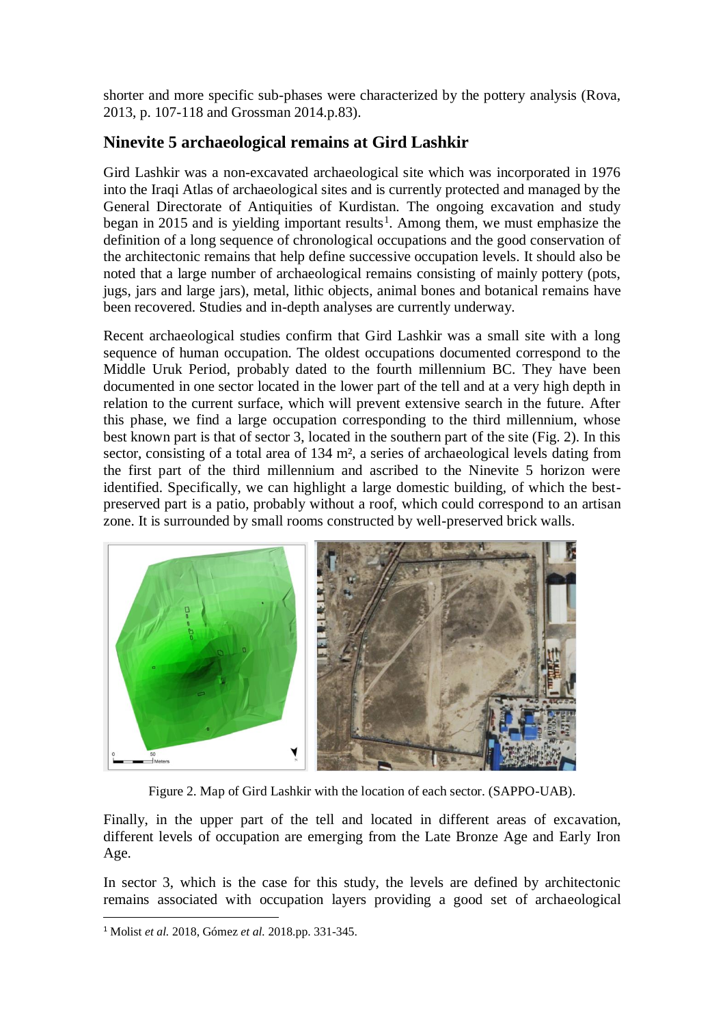shorter and more specific sub-phases were characterized by the pottery analysis (Rova, 2013, p. 107-118 and Grossman 2014.p.83).

# **Ninevite 5 archaeological remains at Gird Lashkir**

Gird Lashkir was a non-excavated archaeological site which was incorporated in 1976 into the Iraqi Atlas of archaeological sites and is currently protected and managed by the General Directorate of Antiquities of Kurdistan. The ongoing excavation and study began in 2015 and is yielding important results<sup>1</sup>. Among them, we must emphasize the definition of a long sequence of chronological occupations and the good conservation of the architectonic remains that help define successive occupation levels. It should also be noted that a large number of archaeological remains consisting of mainly pottery (pots, jugs, jars and large jars), metal, lithic objects, animal bones and botanical remains have been recovered. Studies and in-depth analyses are currently underway.

Recent archaeological studies confirm that Gird Lashkir was a small site with a long sequence of human occupation. The oldest occupations documented correspond to the Middle Uruk Period, probably dated to the fourth millennium BC. They have been documented in one sector located in the lower part of the tell and at a very high depth in relation to the current surface, which will prevent extensive search in the future. After this phase, we find a large occupation corresponding to the third millennium, whose best known part is that of sector 3, located in the southern part of the site (Fig. 2). In this sector, consisting of a total area of 134 m<sup>2</sup>, a series of archaeological levels dating from the first part of the third millennium and ascribed to the Ninevite 5 horizon were identified. Specifically, we can highlight a large domestic building, of which the bestpreserved part is a patio, probably without a roof, which could correspond to an artisan zone. It is surrounded by small rooms constructed by well-preserved brick walls.



Figure 2. Map of Gird Lashkir with the location of each sector. (SAPPO-UAB).

Finally, in the upper part of the tell and located in different areas of excavation, different levels of occupation are emerging from the Late Bronze Age and Early Iron Age.

In sector 3, which is the case for this study, the levels are defined by architectonic remains associated with occupation layers providing a good set of archaeological

<sup>1</sup> Molist *et al.* 2018, Gómez *et al.* 2018.pp. 331-345.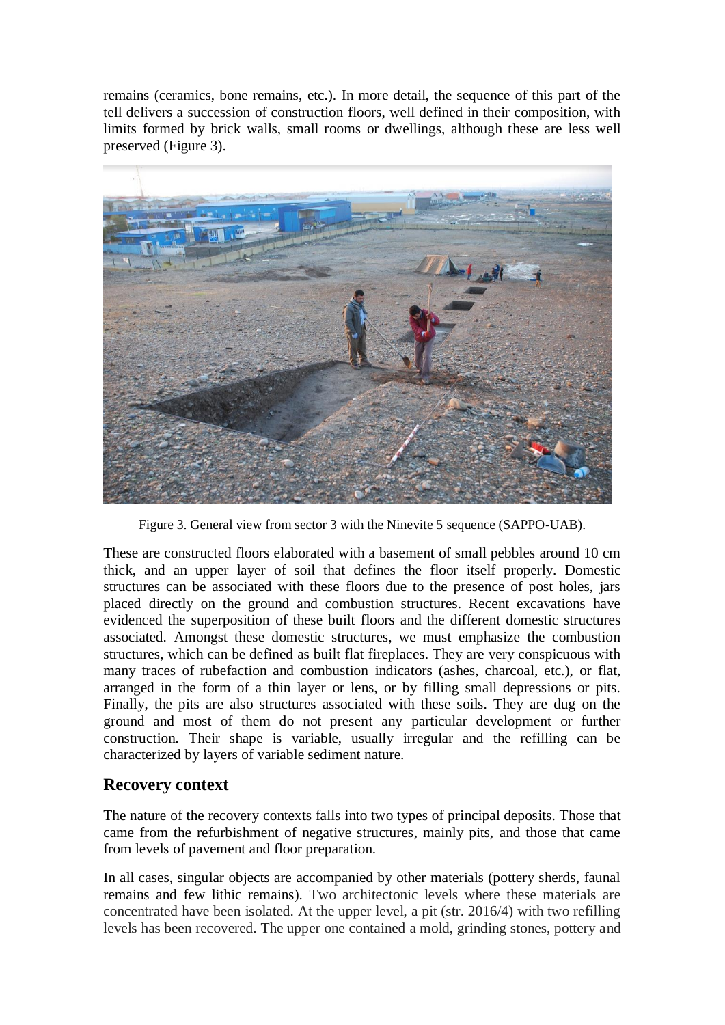remains (ceramics, bone remains, etc.). In more detail, the sequence of this part of the tell delivers a succession of construction floors, well defined in their composition, with limits formed by brick walls, small rooms or dwellings, although these are less well preserved (Figure 3).



Figure 3. General view from sector 3 with the Ninevite 5 sequence (SAPPO-UAB).

These are constructed floors elaborated with a basement of small pebbles around 10 cm thick, and an upper layer of soil that defines the floor itself properly. Domestic structures can be associated with these floors due to the presence of post holes, jars placed directly on the ground and combustion structures. Recent excavations have evidenced the superposition of these built floors and the different domestic structures associated. Amongst these domestic structures, we must emphasize the combustion structures, which can be defined as built flat fireplaces. They are very conspicuous with many traces of rubefaction and combustion indicators (ashes, charcoal, etc.), or flat, arranged in the form of a thin layer or lens, or by filling small depressions or pits. Finally, the pits are also structures associated with these soils. They are dug on the ground and most of them do not present any particular development or further construction. Their shape is variable, usually irregular and the refilling can be characterized by layers of variable sediment nature.

# **Recovery context**

The nature of the recovery contexts falls into two types of principal deposits. Those that came from the refurbishment of negative structures, mainly pits, and those that came from levels of pavement and floor preparation.

In all cases, singular objects are accompanied by other materials (pottery sherds, faunal remains and few lithic remains). Two architectonic levels where these materials are concentrated have been isolated. At the upper level, a pit (str. 2016/4) with two refilling levels has been recovered. The upper one contained a mold, grinding stones, pottery and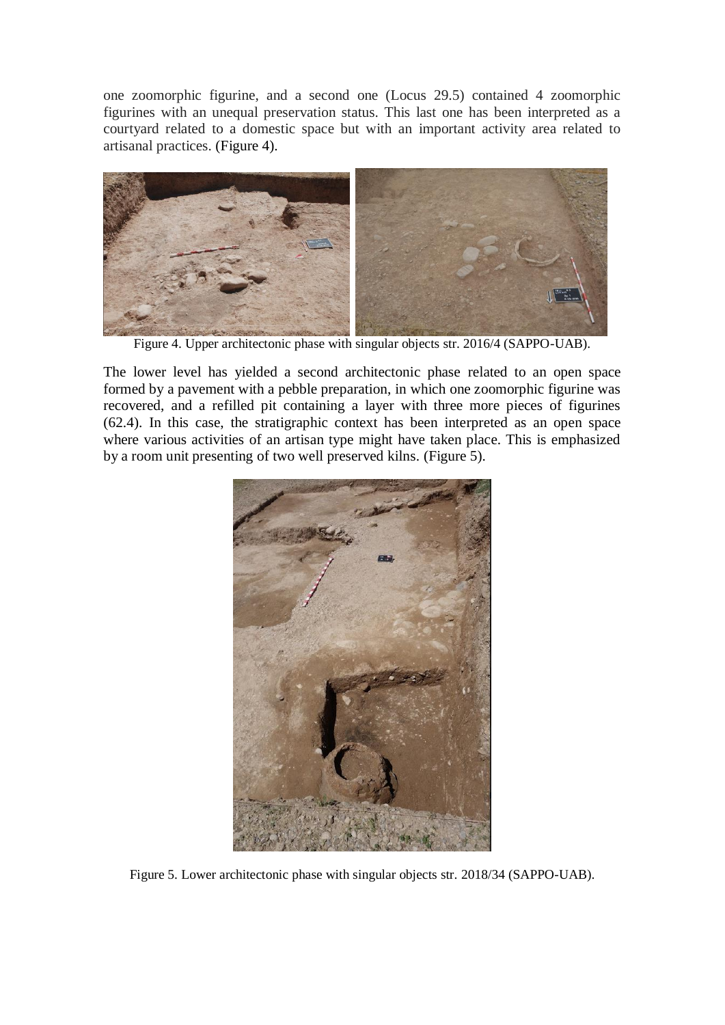one zoomorphic figurine, and a second one (Locus 29.5) contained 4 zoomorphic figurines with an unequal preservation status. This last one has been interpreted as a courtyard related to a domestic space but with an important activity area related to artisanal practices. (Figure 4).



Figure 4. Upper architectonic phase with singular objects str. 2016/4 (SAPPO-UAB).

The lower level has yielded a second architectonic phase related to an open space formed by a pavement with a pebble preparation, in which one zoomorphic figurine was recovered, and a refilled pit containing a layer with three more pieces of figurines (62.4). In this case, the stratigraphic context has been interpreted as an open space where various activities of an artisan type might have taken place. This is emphasized by a room unit presenting of two well preserved kilns. (Figure 5).



Figure 5. Lower architectonic phase with singular objects str. 2018/34 (SAPPO-UAB).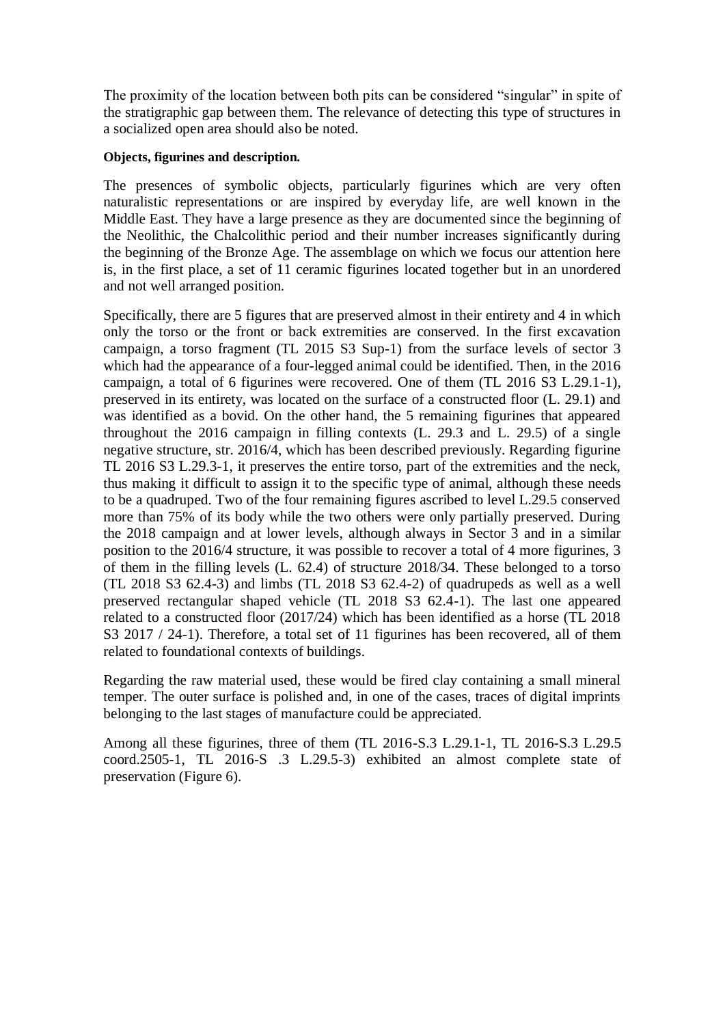The proximity of the location between both pits can be considered "singular" in spite of the stratigraphic gap between them. The relevance of detecting this type of structures in a socialized open area should also be noted.

#### **Objects, figurines and description.**

The presences of symbolic objects, particularly figurines which are very often naturalistic representations or are inspired by everyday life, are well known in the Middle East. They have a large presence as they are documented since the beginning of the Neolithic, the Chalcolithic period and their number increases significantly during the beginning of the Bronze Age. The assemblage on which we focus our attention here is, in the first place, a set of 11 ceramic figurines located together but in an unordered and not well arranged position.

Specifically, there are 5 figures that are preserved almost in their entirety and 4 in which only the torso or the front or back extremities are conserved. In the first excavation campaign, a torso fragment (TL 2015 S3 Sup-1) from the surface levels of sector 3 which had the appearance of a four-legged animal could be identified. Then, in the 2016 campaign, a total of 6 figurines were recovered. One of them (TL 2016 S3 L.29.1-1), preserved in its entirety, was located on the surface of a constructed floor (L. 29.1) and was identified as a bovid. On the other hand, the 5 remaining figurines that appeared throughout the 2016 campaign in filling contexts (L. 29.3 and L. 29.5) of a single negative structure, str. 2016/4, which has been described previously. Regarding figurine TL 2016 S3 L.29.3-1, it preserves the entire torso, part of the extremities and the neck, thus making it difficult to assign it to the specific type of animal, although these needs to be a quadruped. Two of the four remaining figures ascribed to level L.29.5 conserved more than 75% of its body while the two others were only partially preserved. During the 2018 campaign and at lower levels, although always in Sector 3 and in a similar position to the 2016/4 structure, it was possible to recover a total of 4 more figurines, 3 of them in the filling levels (L. 62.4) of structure 2018/34. These belonged to a torso  $(TL 2018 S3 62.4-3)$  and limbs  $(TL 2018 S3 62.4-2)$  of quadrupeds as well as a well preserved rectangular shaped vehicle (TL 2018 S3 62.4-1). The last one appeared related to a constructed floor (2017/24) which has been identified as a horse (TL 2018 S3 2017 / 24-1). Therefore, a total set of 11 figurines has been recovered, all of them related to foundational contexts of buildings.

Regarding the raw material used, these would be fired clay containing a small mineral temper. The outer surface is polished and, in one of the cases, traces of digital imprints belonging to the last stages of manufacture could be appreciated.

Among all these figurines, three of them (TL 2016-S.3 L.29.1-1, TL 2016-S.3 L.29.5 coord.2505-1, TL 2016-S .3 L.29.5-3) exhibited an almost complete state of preservation (Figure 6).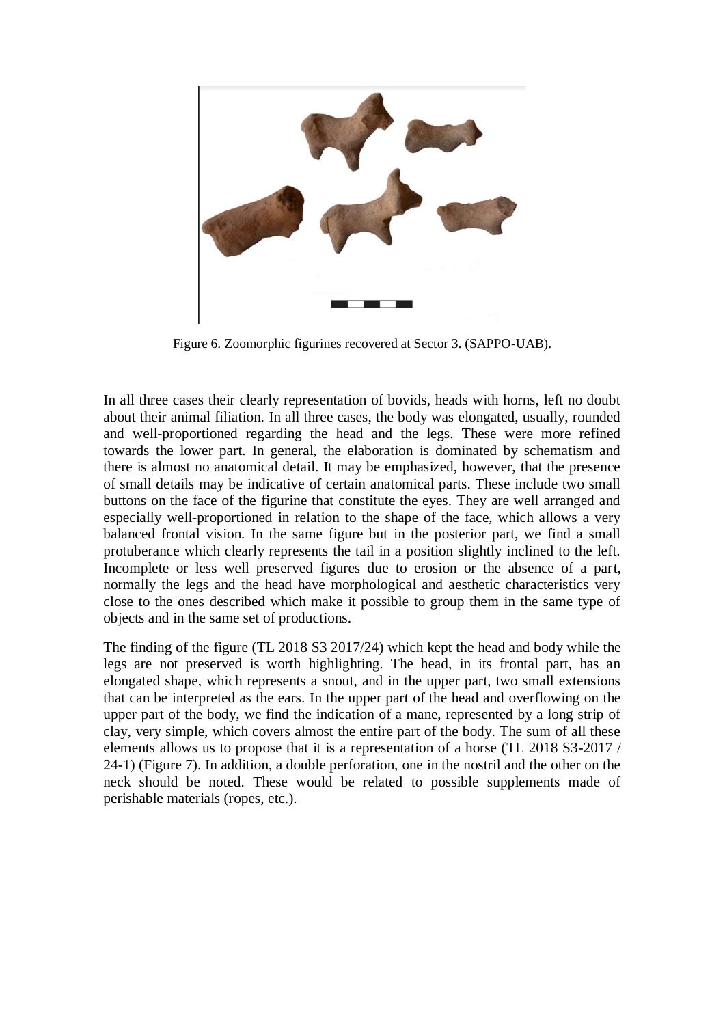

Figure 6. Zoomorphic figurines recovered at Sector 3. (SAPPO-UAB).

In all three cases their clearly representation of bovids, heads with horns, left no doubt about their animal filiation. In all three cases, the body was elongated, usually, rounded and well-proportioned regarding the head and the legs. These were more refined towards the lower part. In general, the elaboration is dominated by schematism and there is almost no anatomical detail. It may be emphasized, however, that the presence of small details may be indicative of certain anatomical parts. These include two small buttons on the face of the figurine that constitute the eyes. They are well arranged and especially well-proportioned in relation to the shape of the face, which allows a very balanced frontal vision. In the same figure but in the posterior part, we find a small protuberance which clearly represents the tail in a position slightly inclined to the left. Incomplete or less well preserved figures due to erosion or the absence of a part, normally the legs and the head have morphological and aesthetic characteristics very close to the ones described which make it possible to group them in the same type of objects and in the same set of productions.

The finding of the figure (TL 2018 S3 2017/24) which kept the head and body while the legs are not preserved is worth highlighting. The head, in its frontal part, has an elongated shape, which represents a snout, and in the upper part, two small extensions that can be interpreted as the ears. In the upper part of the head and overflowing on the upper part of the body, we find the indication of a mane, represented by a long strip of clay, very simple, which covers almost the entire part of the body. The sum of all these elements allows us to propose that it is a representation of a horse (TL 2018 S3-2017 / 24-1) (Figure 7). In addition, a double perforation, one in the nostril and the other on the neck should be noted. These would be related to possible supplements made of perishable materials (ropes, etc.).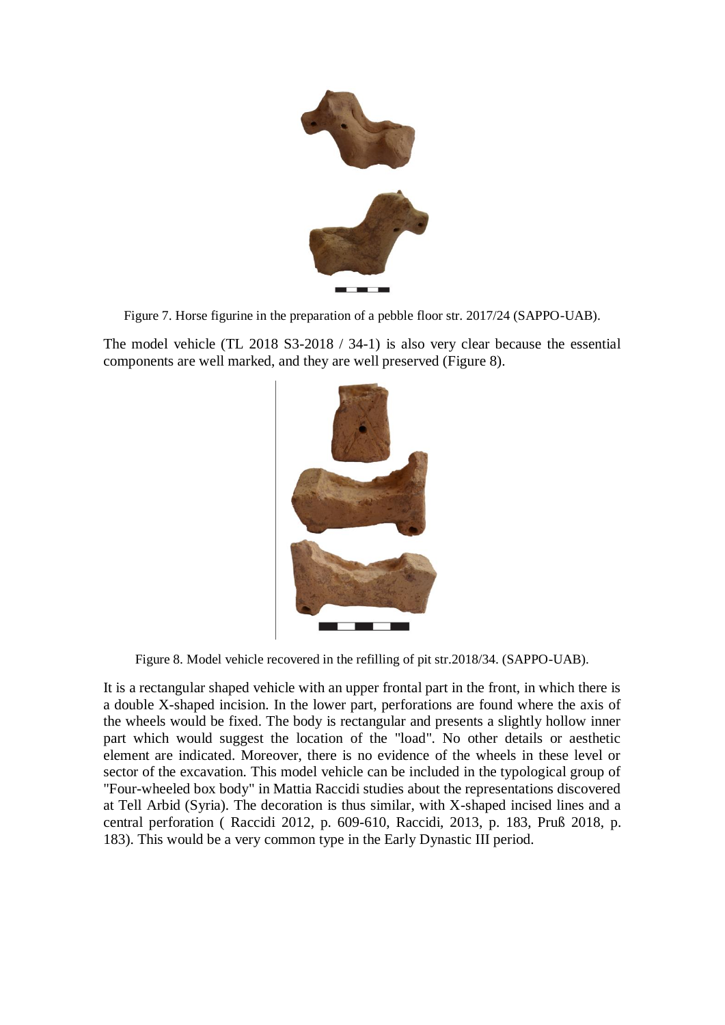

Figure 7. Horse figurine in the preparation of a pebble floor str. 2017/24 (SAPPO-UAB).

The model vehicle (TL 2018 S3-2018 / 34-1) is also very clear because the essential components are well marked, and they are well preserved (Figure 8).



Figure 8. Model vehicle recovered in the refilling of pit str.2018/34. (SAPPO-UAB).

It is a rectangular shaped vehicle with an upper frontal part in the front, in which there is a double X-shaped incision. In the lower part, perforations are found where the axis of the wheels would be fixed. The body is rectangular and presents a slightly hollow inner part which would suggest the location of the "load". No other details or aesthetic element are indicated. Moreover, there is no evidence of the wheels in these level or sector of the excavation. This model vehicle can be included in the typological group of "Four-wheeled box body" in Mattia Raccidi studies about the representations discovered at Tell Arbid (Syria). The decoration is thus similar, with X-shaped incised lines and a central perforation ( Raccidi 2012, p. 609-610, Raccidi, 2013, p. 183, Pruß 2018, p. 183). This would be a very common type in the Early Dynastic III period.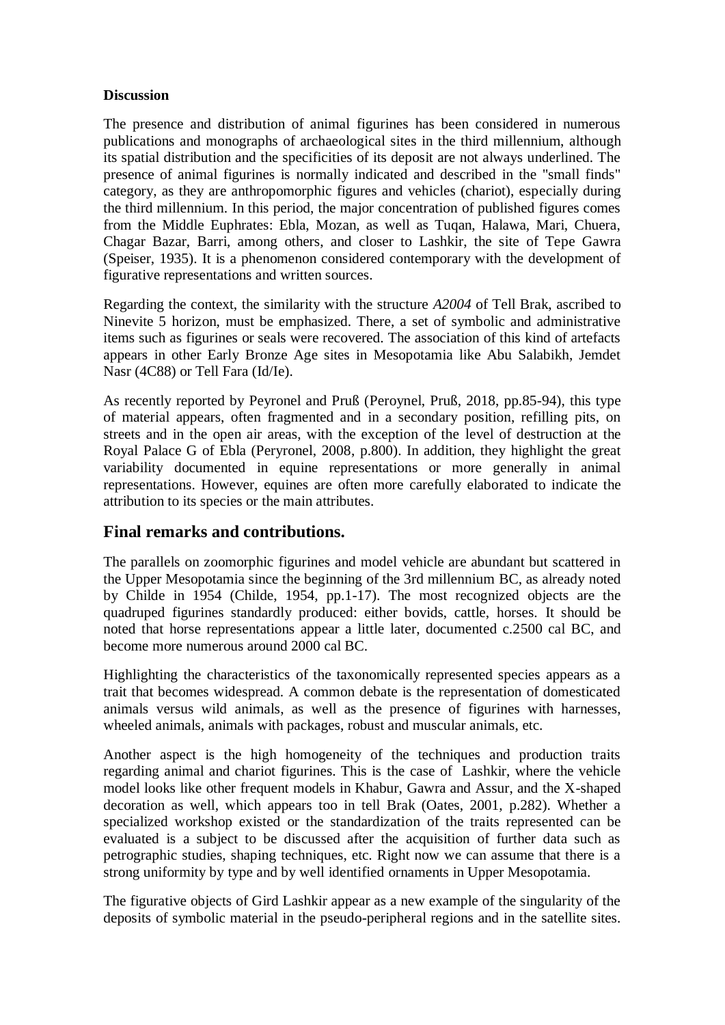#### **Discussion**

The presence and distribution of animal figurines has been considered in numerous publications and monographs of archaeological sites in the third millennium, although its spatial distribution and the specificities of its deposit are not always underlined. The presence of animal figurines is normally indicated and described in the "small finds" category, as they are anthropomorphic figures and vehicles (chariot), especially during the third millennium. In this period, the major concentration of published figures comes from the Middle Euphrates: Ebla, Mozan, as well as Tuqan, Halawa, Mari, Chuera, Chagar Bazar, Barri, among others, and closer to Lashkir, the site of Tepe Gawra (Speiser, 1935). It is a phenomenon considered contemporary with the development of figurative representations and written sources.

Regarding the context, the similarity with the structure *A2004* of Tell Brak, ascribed to Ninevite 5 horizon, must be emphasized. There, a set of symbolic and administrative items such as figurines or seals were recovered. The association of this kind of artefacts appears in other Early Bronze Age sites in Mesopotamia like Abu Salabikh, Jemdet Nasr (4C88) or Tell Fara (Id/Ie).

As recently reported by Peyronel and Pruß (Peroynel, Pruß, 2018, pp.85-94), this type of material appears, often fragmented and in a secondary position, refilling pits, on streets and in the open air areas, with the exception of the level of destruction at the Royal Palace G of Ebla (Peryronel, 2008, p.800). In addition, they highlight the great variability documented in equine representations or more generally in animal representations. However, equines are often more carefully elaborated to indicate the attribution to its species or the main attributes.

### **Final remarks and contributions.**

The parallels on zoomorphic figurines and model vehicle are abundant but scattered in the Upper Mesopotamia since the beginning of the 3rd millennium BC, as already noted by Childe in 1954 (Childe, 1954, pp.1-17). The most recognized objects are the quadruped figurines standardly produced: either bovids, cattle, horses. It should be noted that horse representations appear a little later, documented c.2500 cal BC, and become more numerous around 2000 cal BC.

Highlighting the characteristics of the taxonomically represented species appears as a trait that becomes widespread. A common debate is the representation of domesticated animals versus wild animals, as well as the presence of figurines with harnesses, wheeled animals, animals with packages, robust and muscular animals, etc.

Another aspect is the high homogeneity of the techniques and production traits regarding animal and chariot figurines. This is the case of Lashkir, where the vehicle model looks like other frequent models in Khabur, Gawra and Assur, and the X-shaped decoration as well, which appears too in tell Brak (Oates, 2001, p.282). Whether a specialized workshop existed or the standardization of the traits represented can be evaluated is a subject to be discussed after the acquisition of further data such as petrographic studies, shaping techniques, etc. Right now we can assume that there is a strong uniformity by type and by well identified ornaments in Upper Mesopotamia.

The figurative objects of Gird Lashkir appear as a new example of the singularity of the deposits of symbolic material in the pseudo-peripheral regions and in the satellite sites.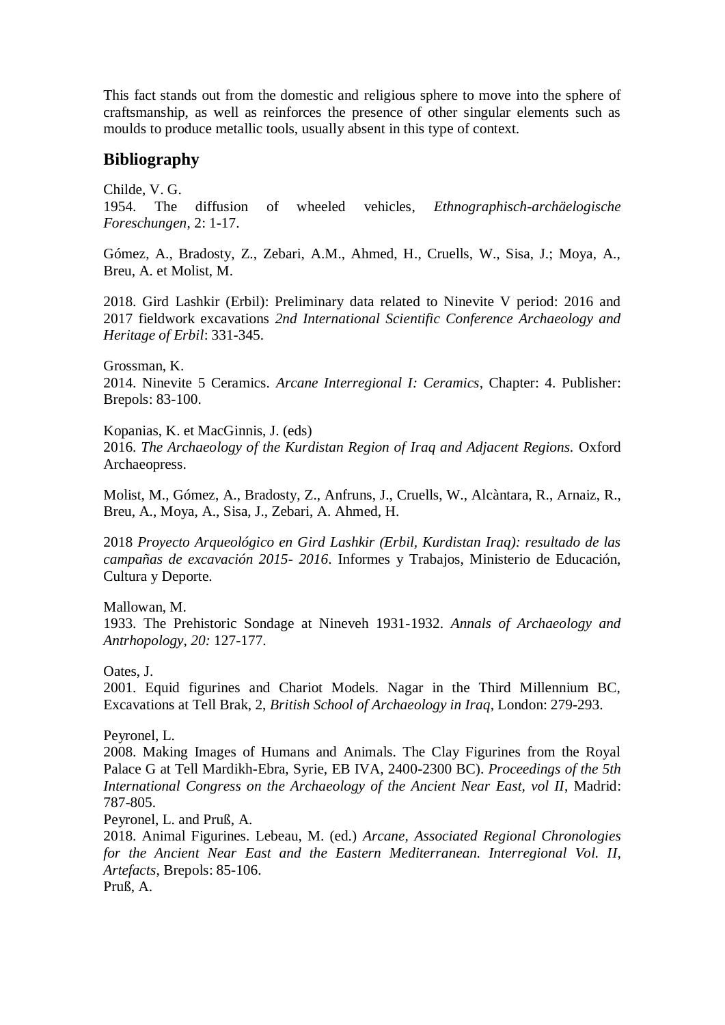This fact stands out from the domestic and religious sphere to move into the sphere of craftsmanship, as well as reinforces the presence of other singular elements such as moulds to produce metallic tools, usually absent in this type of context.

### **Bibliography**

Childe, V. G. 1954. The diffusion of wheeled vehicles, *Ethnographisch-archäelogische Foreschungen*, 2: 1-17.

Gómez, A., Bradosty, Z., Zebari, A.M., Ahmed, H., Cruells, W., Sisa, J.; Moya, A., Breu, A. et Molist, M.

2018. Gird Lashkir (Erbil): Preliminary data related to Ninevite V period: 2016 and 2017 fieldwork excavations *2nd International Scientific Conference Archaeology and Heritage of Erbil*: 331-345.

Grossman, K. 2014. Ninevite 5 Ceramics. *Arcane Interregional I: Ceramics*, Chapter: 4. Publisher: Brepols: 83-100.

Kopanias, K. et MacGinnis, J. (eds)

2016. *The Archaeology of the Kurdistan Region of Iraq and Adjacent Regions.* Oxford Archaeopress.

Molist, M., Gómez, A., Bradosty, Z., Anfruns, J., Cruells, W., Alcàntara, R., Arnaiz, R., Breu, A., Moya, A., Sisa, J., Zebari, A. Ahmed, H.

2018 *Proyecto Arqueológico en Gird Lashkir (Erbil, Kurdistan Iraq): resultado de las campañas de excavación 2015- 2016*. Informes y Trabajos, Ministerio de Educación, Cultura y Deporte.

Mallowan, M.

1933. The Prehistoric Sondage at Nineveh 1931-1932. *Annals of Archaeology and Antrhopology*, *20:* 127-177.

Oates, J.

2001. Equid figurines and Chariot Models. Nagar in the Third Millennium BC, Excavations at Tell Brak, 2, *British School of Archaeology in Iraq*, London: 279-293.

Peyronel, L.

2008. Making Images of Humans and Animals. The Clay Figurines from the Royal Palace G at Tell Mardikh-Ebra, Syrie, EB IVA, 2400-2300 BC). *Proceedings of the 5th International Congress on the Archaeology of the Ancient Near East, vol II*, Madrid: 787-805.

Peyronel, L. and Pruß, A.

2018. Animal Figurines. Lebeau, M. (ed.) *Arcane, Associated Regional Chronologies for the Ancient Near East and the Eastern Mediterranean. Interregional Vol. II, Artefacts*, Brepols: 85-106.

Pruß, A.